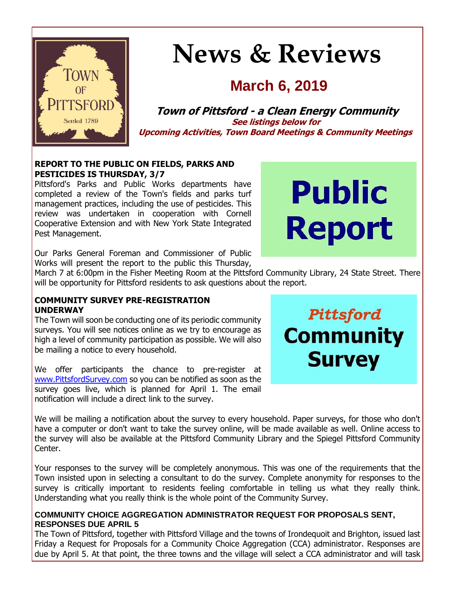

# **News & Reviews**

# **March 6, 2019**

**Town of Pittsford - a Clean Energy Community See listings below for Upcoming Activities, Town Board Meetings & Community Meetings**

# **REPORT TO THE PUBLIC ON FIELDS, PARKS AND PESTICIDES IS THURSDAY, 3/7**

Pittsford's Parks and Public Works departments have completed a review of the Town's fields and parks turf management practices, including the use of pesticides. This review was undertaken in cooperation with Cornell Cooperative Extension and with New York State Integrated Pest Management.



Our Parks General Foreman and Commissioner of Public Works will present the report to the public this Thursday,

March 7 at 6:00pm in the Fisher Meeting Room at the Pittsford Community Library, 24 State Street. There will be opportunity for Pittsford residents to ask questions about the report.

#### **COMMUNITY SURVEY PRE-REGISTRATION UNDERWAY**

The Town will soon be conducting one of its periodic community surveys. You will see notices online as we try to encourage as high a level of community participation as possible. We will also be mailing a notice to every household.

We offer participants the chance to pre-register at [www.PittsfordSurvey.com](http://www.pittsfordsurvey.com/) so you can be notified as soon as the survey goes live, which is planned for April 1. The email notification will include a direct link to the survey.

Pittsford **Community Survey** 

We will be mailing a notification about the survey to every household. Paper surveys, for those who don't have a computer or don't want to take the survey online, will be made available as well. Online access to the survey will also be available at the Pittsford Community Library and the Spiegel Pittsford Community Center.

Your responses to the survey will be completely anonymous. This was one of the requirements that the Town insisted upon in selecting a consultant to do the survey. Complete anonymity for responses to the survey is critically important to residents feeling comfortable in telling us what they really think. Understanding what you really think is the whole point of the Community Survey.

# **COMMUNITY CHOICE AGGREGATION ADMINISTRATOR REQUEST FOR PROPOSALS SENT, RESPONSES DUE APRIL 5**

The Town of Pittsford, together with Pittsford Village and the towns of Irondequoit and Brighton, issued last Friday a Request for Proposals for a Community Choice Aggregation (CCA) administrator. Responses are due by April 5. At that point, the three towns and the village will select a CCA administrator and will task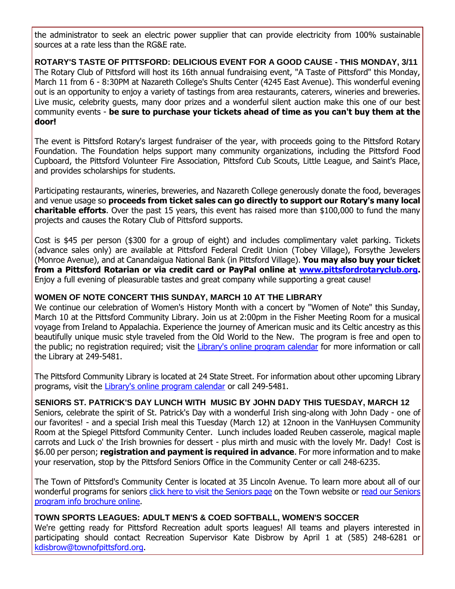the administrator to seek an electric power supplier that can provide electricity from 100% sustainable sources at a rate less than the RG&E rate.

**ROTARY'S TASTE OF PITTSFORD: DELICIOUS EVENT FOR A GOOD CAUSE - THIS MONDAY, 3/11** The Rotary Club of Pittsford will host its 16th annual fundraising event, "A Taste of Pittsford" this Monday, March 11 from 6 - 8:30PM at Nazareth College's Shults Center (4245 East Avenue). This wonderful evening out is an opportunity to enjoy a variety of tastings from area restaurants, caterers, wineries and breweries. Live music, celebrity guests, many door prizes and a wonderful silent auction make this one of our best community events - **be sure to purchase your tickets ahead of time as you can't buy them at the door!**

The event is Pittsford Rotary's largest fundraiser of the year, with proceeds going to the Pittsford Rotary Foundation. The Foundation helps support many community organizations, including the Pittsford Food Cupboard, the Pittsford Volunteer Fire Association, Pittsford Cub Scouts, Little League, and Saint's Place, and provides scholarships for students.

Participating restaurants, wineries, breweries, and Nazareth College generously donate the food, beverages and venue usage so **proceeds from ticket sales can go directly to support our Rotary's many local charitable efforts**. Over the past 15 years, this event has raised more than \$100,000 to fund the many projects and causes the Rotary Club of Pittsford supports.

Cost is \$45 per person (\$300 for a group of eight) and includes complimentary valet parking. Tickets (advance sales only) are available at Pittsford Federal Credit Union (Tobey Village), Forsythe Jewelers (Monroe Avenue), and at Canandaigua National Bank (in Pittsford Village). **You may also buy your ticket from a Pittsford Rotarian or via credit card or PayPal online at [www.pittsfordrotaryclub.org.](http://r20.rs6.net/tn.jsp?f=001rtdeGMvnc0WPK7x3BizKYy4JKud7sNyB0m965-B7x6eaGQzbnsyR9jKEbQjMasyuRmXAjtImzvVwDYSQvSsX5WGlQ1HZuKMUq1pmMT_dAY7tCCBvaQi-sRoglPI0AgdkL8WtjjMegwkGuRPvXJEufwczSe6nLa_zfUjRF0UP_HkklxZkWTMLVOcVRrNJBQl9fDKJ7rrNKVgZcONuTCLeBlk0raCTEwWZCH5h0A8mXw58CU1k_8zHiIhcOl6LRcXYIj72b9AbzFsCE-ofCE2snN4DBUpvXgFNwKKPw3ifGcF9M0GjPXferw==&c=IOa_iES8aqyodb5EoCwUvaWSC-ruqj62fWi4Yh72Nrjbm0b_iARo0g==&ch=A9clFnUrDdLNR8htiFt83OBAwCB34RmQEELsbhGbDuh_IdCPXbE0AA==)** Enjoy a full evening of pleasurable tastes and great company while supporting a great cause!

#### **WOMEN OF NOTE CONCERT THIS SUNDAY, MARCH 10 AT THE LIBRARY**

We continue our celebration of Women's History Month with a concert by "Women of Note" this Sunday, March 10 at the Pittsford Community Library. Join us at 2:00pm in the Fisher Meeting Room for a musical voyage from Ireland to Appalachia. Experience the journey of American music and its Celtic ancestry as this beautifully unique music style traveled from the Old World to the New. The program is free and open to the public; no registration required; visit the [Library's online program calendar](http://r20.rs6.net/tn.jsp?f=001rtdeGMvnc0WPK7x3BizKYy4JKud7sNyB0m965-B7x6eaGQzbnsyR9r6JsvxJYWAzYxYvTjHYaw6tQWG0p75KbVYQ_YUkFzUH6jkjQciFfwNcF2FX_n2y5M3w8sKI-QI3ajBwPOG7GgQnWD4My5BkLx8V8p5srCdURi6rr4X2sibDnj6VQniE3XRBqTIul8Kc8HcBS1_EEsAT1-RY--d9RqUuu1qVCvy2qGXkWgwDr-d-4nPlXwChVc06GSN740lJdL8Q6uXZwG3KWKjYvEdEBq7lswev4vYQ5xGARWpfsRkR-Y9O5pAfwEvV5Y2dg00ZoiWbUrr-OZyAmZI5suIi8EL2bYtGu32KfAT_ND0z4AvhhA2NUDAcmmtVqVRLlTo0jHWU8jua1APkiVGZ4RyqJSol814PW1YG&c=IOa_iES8aqyodb5EoCwUvaWSC-ruqj62fWi4Yh72Nrjbm0b_iARo0g==&ch=A9clFnUrDdLNR8htiFt83OBAwCB34RmQEELsbhGbDuh_IdCPXbE0AA==) for more information or call the Library at 249-5481.

The Pittsford Community Library is located at 24 State Street. For information about other upcoming Library programs, visit the [Library's online program calendar](http://r20.rs6.net/tn.jsp?f=001rtdeGMvnc0WPK7x3BizKYy4JKud7sNyB0m965-B7x6eaGQzbnsyR9r6JsvxJYWAzYxYvTjHYaw6tQWG0p75KbVYQ_YUkFzUH6jkjQciFfwNcF2FX_n2y5M3w8sKI-QI3ajBwPOG7GgQnWD4My5BkLx8V8p5srCdURi6rr4X2sibDnj6VQniE3XRBqTIul8Kc8HcBS1_EEsAT1-RY--d9RqUuu1qVCvy2qGXkWgwDr-d-4nPlXwChVc06GSN740lJdL8Q6uXZwG3KWKjYvEdEBq7lswev4vYQ5xGARWpfsRkR-Y9O5pAfwEvV5Y2dg00ZoiWbUrr-OZyAmZI5suIi8EL2bYtGu32KfAT_ND0z4AvhhA2NUDAcmmtVqVRLlTo0jHWU8jua1APkiVGZ4RyqJSol814PW1YG&c=IOa_iES8aqyodb5EoCwUvaWSC-ruqj62fWi4Yh72Nrjbm0b_iARo0g==&ch=A9clFnUrDdLNR8htiFt83OBAwCB34RmQEELsbhGbDuh_IdCPXbE0AA==) or call 249-5481.

# **SENIORS ST. PATRICK'S DAY LUNCH WITH MUSIC BY JOHN DADY THIS TUESDAY, MARCH 12**

Seniors, celebrate the spirit of St. Patrick's Day with a wonderful Irish sing-along with John Dady - one of our favorites! - and a special Irish meal this Tuesday (March 12) at 12noon in the VanHuysen Community Room at the Spiegel Pittsford Community Center. Lunch includes loaded Reuben casserole, magical maple carrots and Luck o' the Irish brownies for dessert - plus mirth and music with the lovely Mr. Dady! Cost is \$6.00 per person; **registration and payment is required in advance**. For more information and to make your reservation, stop by the Pittsford Seniors Office in the Community Center or call 248-6235.

The Town of Pittsford's Community Center is located at 35 Lincoln Avenue. To learn more about all of our wonderful programs for seniors [click here to visit the Seniors page](http://r20.rs6.net/tn.jsp?f=001rtdeGMvnc0WPK7x3BizKYy4JKud7sNyB0m965-B7x6eaGQzbnsyR9vmBrF9QX2Qh8Rmqp1iRwa2i3jgM44uarhffCo2hp1egYs48sTHQ-dMbwww4HITR-ucvcVSurvRtA9gAWkg9m6TFVeJU3A-Ok3dI-rivfdapkIH2AMUfI6I-yYtCZqUBEHworiCige3rDvTE1v6oMVa3vl8VUP6TyRcpw_skk_DFHIQqIYhjOWkBXTxyoDISmRwjvIob1LGBCW7H-DoNx2swwN9vi_D4tEOGLvo1AM4HMZziiEtvesr4tGm6CebZT2L6jJU_t7fS&c=IOa_iES8aqyodb5EoCwUvaWSC-ruqj62fWi4Yh72Nrjbm0b_iARo0g==&ch=A9clFnUrDdLNR8htiFt83OBAwCB34RmQEELsbhGbDuh_IdCPXbE0AA==) on the Town website or read our Seniors [program info brochure online.](http://r20.rs6.net/tn.jsp?f=001rtdeGMvnc0WPK7x3BizKYy4JKud7sNyB0m965-B7x6eaGQzbnsyR9oeg8nYG4wjww2xK_lpBP6BXCPv6ezceqPDqkOXtxrlS8ZY5b1GfVTern-qrYNCovE0IrLXUODbZs9RfG9RxXPts0ysoGgzL8lAnwKJGZ7GW90zbn_QU6K__NQyguvDmiHAdI40NPt2lYzF7Di_uawx_DRmbTHS9NK93_XJ8vh5LglNxbshC7Yt-VVOUx1gW-gohfurer2R0yxWpqHi55NzedUBXEH6Re4gc4DuRMVfWBfhexuRPQF7R9nyQpGb9zKLe2WG6elqAzB86NL-z9wu29K466v2rvSuZFvBi1_Zdrmr3AexGHiSKdYmJNRuAJw==&c=IOa_iES8aqyodb5EoCwUvaWSC-ruqj62fWi4Yh72Nrjbm0b_iARo0g==&ch=A9clFnUrDdLNR8htiFt83OBAwCB34RmQEELsbhGbDuh_IdCPXbE0AA==)

# **TOWN SPORTS LEAGUES: ADULT MEN'S & COED SOFTBALL, WOMEN'S SOCCER**

We're getting ready for Pittsford Recreation adult sports leagues! All teams and players interested in participating should contact Recreation Supervisor Kate Disbrow by April 1 at (585) 248-6281 or [kdisbrow@townofpittsford.org.](mailto:kdisbrow@townofpittsford.org?subject=Adult%20Sports%20Leagues)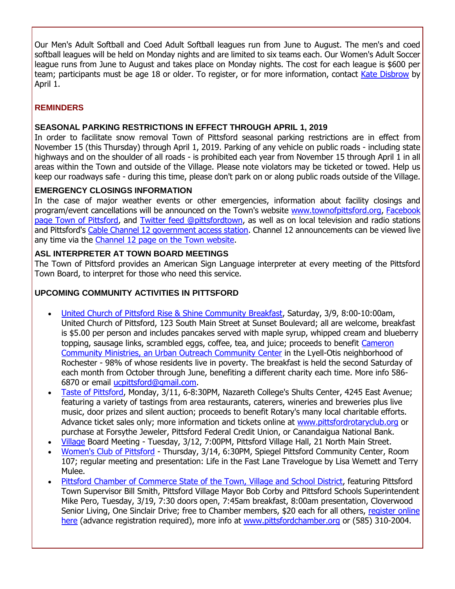Our Men's Adult Softball and Coed Adult Softball leagues run from June to August. The men's and coed softball leagues will be held on Monday nights and are limited to six teams each. Our Women's Adult Soccer league runs from June to August and takes place on Monday nights. The cost for each league is \$600 per team; participants must be age 18 or older. To register, or for more information, contact [Kate Disbrow](mailto:kdisbrow@townofpittsford.org?subject=Adult%20Sports%20Leagues) by April 1.

# **REMINDERS**

# **SEASONAL PARKING RESTRICTIONS IN EFFECT THROUGH APRIL 1, 2019**

In order to facilitate snow removal Town of Pittsford seasonal parking restrictions are in effect from November 15 (this Thursday) through April 1, 2019. Parking of any vehicle on public roads - including state highways and on the shoulder of all roads - is prohibited each year from November 15 through April 1 in all areas within the Town and outside of the Village. Please note violators may be ticketed or towed. Help us keep our roadways safe - during this time, please don't park on or along public roads outside of the Village.

# **EMERGENCY CLOSINGS INFORMATION**

In the case of major weather events or other emergencies, information about facility closings and program/event cancellations will be announced on the Town's website [www.townofpittsford.org,](http://townofpittsford.org/?utm_source=eNews+03-06-19&utm_campaign=eNews+02-27-19&utm_medium=email) [Facebook](https://www.facebook.com/pages/Town-of-Pittsford/139082619464200)  [page Town of Pittsford,](https://www.facebook.com/pages/Town-of-Pittsford/139082619464200) and [Twitter feed @pittsfordtown,](http://r20.rs6.net/tn.jsp?f=001rtdeGMvnc0WPK7x3BizKYy4JKud7sNyB0m965-B7x6eaGQzbnsyR9v0_z_ikHVxoZTnwFXn2L-mV2xWpfPr-EpJwJw61ydQ_ynNL7bckac2qShi0GMS8WB3fJHYgprrMaTkpYj2417djocOdEpVTWU-mvlXXpaTOPoHw8ReGLXVFO0-59x-FCw==&c=IOa_iES8aqyodb5EoCwUvaWSC-ruqj62fWi4Yh72Nrjbm0b_iARo0g==&ch=A9clFnUrDdLNR8htiFt83OBAwCB34RmQEELsbhGbDuh_IdCPXbE0AA==) as well as on local television and radio stations and Pittsford's [Cable Channel 12 government access station.](http://townofpittsford.org/home-channel12?utm_source=eNews+03-06-19&utm_campaign=eNews+02-27-19&utm_medium=email) Channel 12 announcements can be viewed live any time via the [Channel 12 page on the](http://townofpittsford.org/home-channel12?utm_source=eNews+03-06-19&utm_campaign=eNews+02-27-19&utm_medium=email) Town website.

# **ASL INTERPRETER AT TOWN BOARD MEETINGS**

The Town of Pittsford provides an American Sign Language interpreter at every meeting of the Pittsford Town Board, to interpret for those who need this service.

## **UPCOMING COMMUNITY ACTIVITIES IN PITTSFORD**

- [United Church of Pittsford Rise & Shine Community Breakfast,](http://r20.rs6.net/tn.jsp?f=001rtdeGMvnc0WPK7x3BizKYy4JKud7sNyB0m965-B7x6eaGQzbnsyR9tgjGaJsUo353MzDTZwFNRsyQyxHUKXutg7jwNF9X5bhevy1iiOSPA1GbJkws3e2OfoCwXNDRnjIsgNJsUaAqxzVUF_GkACeYP7Tg38qqJTwgxm74Od2zNYNNvsNAa2dWcKsAALAJT6cqv07ytxa0t-3-28J3nUem0eyBUTvxy-lseID99ZXBp0ybY7c7E4XO1oOfjyE7be6UfpNjTu1h_yKnVwbkN6pb-erGbl1xV_MhK1ZVhIb_9I=&c=IOa_iES8aqyodb5EoCwUvaWSC-ruqj62fWi4Yh72Nrjbm0b_iARo0g==&ch=A9clFnUrDdLNR8htiFt83OBAwCB34RmQEELsbhGbDuh_IdCPXbE0AA==) Saturday, 3/9, 8:00-10:00am, United Church of Pittsford, 123 South Main Street at Sunset Boulevard; all are welcome, breakfast is \$5.00 per person and includes pancakes served with maple syrup, whipped cream and blueberry topping, sausage links, scrambled eggs, coffee, tea, and juice; proceeds to benefit [Cameron](http://r20.rs6.net/tn.jsp?f=001rtdeGMvnc0WPK7x3BizKYy4JKud7sNyB0m965-B7x6eaGQzbnsyR9kdxWd3v0LP9gQAEqo40RRMVeajPCnrHQ5rJ9hdGZOBnK-BYEiqp8fL6ZFp5YtCMP1-ldFVF_8panFQtgPfbZIDZmE6VoadwO8PMEL8srxmjrvpOOTn43p9uszET7HT_4a-V9P7lnaTD8VtIYJIH4MC1EbxyWlPrxidOZqvz4_JSaDORbTIffXglqk2dIMiRuKZSZAwq2ylzsrzuBL1DXfkUFE0VZdsCnpxtbS9O0DXQOmdyqAgrqmI=&c=IOa_iES8aqyodb5EoCwUvaWSC-ruqj62fWi4Yh72Nrjbm0b_iARo0g==&ch=A9clFnUrDdLNR8htiFt83OBAwCB34RmQEELsbhGbDuh_IdCPXbE0AA==)  [Community Ministries, an Urban Outreach Community Center](http://r20.rs6.net/tn.jsp?f=001rtdeGMvnc0WPK7x3BizKYy4JKud7sNyB0m965-B7x6eaGQzbnsyR9kdxWd3v0LP9gQAEqo40RRMVeajPCnrHQ5rJ9hdGZOBnK-BYEiqp8fL6ZFp5YtCMP1-ldFVF_8panFQtgPfbZIDZmE6VoadwO8PMEL8srxmjrvpOOTn43p9uszET7HT_4a-V9P7lnaTD8VtIYJIH4MC1EbxyWlPrxidOZqvz4_JSaDORbTIffXglqk2dIMiRuKZSZAwq2ylzsrzuBL1DXfkUFE0VZdsCnpxtbS9O0DXQOmdyqAgrqmI=&c=IOa_iES8aqyodb5EoCwUvaWSC-ruqj62fWi4Yh72Nrjbm0b_iARo0g==&ch=A9clFnUrDdLNR8htiFt83OBAwCB34RmQEELsbhGbDuh_IdCPXbE0AA==) in the Lyell-Otis neighborhood of Rochester - 98% of whose residents live in poverty. The breakfast is held the second Saturday of each month from October through June, benefiting a different charity each time. More info 586- 6870 or email [ucpittsford@gmail.com.](mailto:ucpittsford@gmail.com?subject=Rise%20and%20Shine%20Pancake%20Breakfast)
- [Taste of Pittsford,](http://r20.rs6.net/tn.jsp?f=001rtdeGMvnc0WPK7x3BizKYy4JKud7sNyB0m965-B7x6eaGQzbnsyR9jKEbQjMasyuRmXAjtImzvVwDYSQvSsX5WGlQ1HZuKMUq1pmMT_dAY7tCCBvaQi-sRoglPI0AgdkL8WtjjMegwkGuRPvXJEufwczSe6nLa_zfUjRF0UP_HkklxZkWTMLVOcVRrNJBQl9fDKJ7rrNKVgZcONuTCLeBlk0raCTEwWZCH5h0A8mXw58CU1k_8zHiIhcOl6LRcXYIj72b9AbzFsCE-ofCE2snN4DBUpvXgFNwKKPw3ifGcF9M0GjPXferw==&c=IOa_iES8aqyodb5EoCwUvaWSC-ruqj62fWi4Yh72Nrjbm0b_iARo0g==&ch=A9clFnUrDdLNR8htiFt83OBAwCB34RmQEELsbhGbDuh_IdCPXbE0AA==) Monday, 3/11, 6-8:30PM, Nazareth College's Shults Center, 4245 East Avenue; featuring a variety of tastings from area restaurants, caterers, wineries and breweries plus live music, door prizes and silent auction; proceeds to benefit Rotary's many local charitable efforts. Advance ticket sales only; more information and tickets online at [www.pittsfordrotaryclub.org](http://r20.rs6.net/tn.jsp?f=001rtdeGMvnc0WPK7x3BizKYy4JKud7sNyB0m965-B7x6eaGQzbnsyR9jKEbQjMasyuRmXAjtImzvVwDYSQvSsX5WGlQ1HZuKMUq1pmMT_dAY7tCCBvaQi-sRoglPI0AgdkL8WtjjMegwkGuRPvXJEufwczSe6nLa_zfUjRF0UP_HkklxZkWTMLVOcVRrNJBQl9fDKJ7rrNKVgZcONuTCLeBlk0raCTEwWZCH5h0A8mXw58CU1k_8zHiIhcOl6LRcXYIj72b9AbzFsCE-ofCE2snN4DBUpvXgFNwKKPw3ifGcF9M0GjPXferw==&c=IOa_iES8aqyodb5EoCwUvaWSC-ruqj62fWi4Yh72Nrjbm0b_iARo0g==&ch=A9clFnUrDdLNR8htiFt83OBAwCB34RmQEELsbhGbDuh_IdCPXbE0AA==) or purchase at Forsythe Jeweler, Pittsford Federal Credit Union, or Canandaigua National Bank.
- [Village](http://www.villageofpittsford.org/) Board Meeting Tuesday, 3/12, 7:00PM, Pittsford Village Hall, 21 North Main Street.
- [Women's Club of Pittsford](http://www.womensclubofpittsford.org/) Thursday, 3/14, 6:30PM, Spiegel Pittsford Community Center, Room 107; regular meeting and presentation: Life in the Fast Lane Travelogue by Lisa Wemett and Terry Mulee.
- [Pittsford Chamber of Commerce State of the Town, Village and School District,](http://r20.rs6.net/tn.jsp?f=001rtdeGMvnc0WPK7x3BizKYy4JKud7sNyB0m965-B7x6eaGQzbnsyR9tfP1uxefKkRxWhUHJ2uE7uH2cP81cK2b1l3Ze_U02gEh0wNiV8IYUHXuRsYZuW0mQQ0vx-0iuAsOJeSfiHV4IWNIHD9xTzCA76eRTPZ965HZdZdGSKvyHk8r-_AiWEFwcrg0c0OWbTn7SB8SYKNNfDVr_rPvi8GaYpFLDjdVJKi3dGTRIz75J2LqRyq7lhxT7MNb73D7Eo8IQ_HGQ9mCw4k0ImpeSBJav0dYA40OArWHqpXW8m8cugomyDonOC_GOIKpUF1yFYj-Mj2ffR3IW9s_4shRlt8VniQf4QRIqWb0uNZxiKopr4=&c=IOa_iES8aqyodb5EoCwUvaWSC-ruqj62fWi4Yh72Nrjbm0b_iARo0g==&ch=A9clFnUrDdLNR8htiFt83OBAwCB34RmQEELsbhGbDuh_IdCPXbE0AA==) featuring Pittsford Town Supervisor Bill Smith, Pittsford Village Mayor Bob Corby and Pittsford Schools Superintendent Mike Pero, Tuesday, 3/19, 7:30 doors open, 7:45am breakfast, 8:00am presentation, Cloverwood Senior Living, One Sinclair Drive; free to Chamber members, \$20 each for all others, register online [here](http://r20.rs6.net/tn.jsp?f=001rtdeGMvnc0WPK7x3BizKYy4JKud7sNyB0m965-B7x6eaGQzbnsyR9tfP1uxefKkRHx5bLSRWcAyxRGD35-YrgcsaIPCKROZUgtR1xax8hpOiteo9MNnosrO5230CnNM0kQWQokj9mo86o9rfO5SMt-2TPOV5UqqX8fbBr4Ub8qMWJTkFX1SyJJry-WyNoyMqEzPzhDp8LWs7BYpUczC1oi9wBXgpnEJxpcqREvl-UWIWElSmBx0YDQYcWbq9T4scIDYTCRBFM8_UoqNLofmWSyuChaZOPrJbfkBBICx4M919kHVnu90RKkJKcRxp5emaHHrsNE_tIFFRfQJjAJX_U6YrBfQZKhJotpw_jNTDyCfEi-sJpTB2C0Zn8Y0X02NQPaL59nC8AMIvU3rUqW8mwbdJgaz2un4G6knOzK3eQTFenVcxLpdQ5upZJ0VV0_oZiiHl3OZo1ZfRZ4usTV5jpjRWN423gSQJ3uLZilevacrc3R9RWzagTA==&c=IOa_iES8aqyodb5EoCwUvaWSC-ruqj62fWi4Yh72Nrjbm0b_iARo0g==&ch=A9clFnUrDdLNR8htiFt83OBAwCB34RmQEELsbhGbDuh_IdCPXbE0AA==) (advance registration required), more info at [www.pittsfordchamber.org](http://r20.rs6.net/tn.jsp?f=001rtdeGMvnc0WPK7x3BizKYy4JKud7sNyB0m965-B7x6eaGQzbnsyR9vQhLU4ByuiyZyPgtceepzjIjv7tFcEGFg3YdY90bvmFUygqk9Cb0YwZ9w0CM5jaE5eGLwX-OKVHAI8Z7qGgO3qTkVtrG2bEvfaE18bicL8DVSnDwzzlsqqitywP9KcKjb3TJctO_zZtUO6evtDrSYQYWatONDoi0ZCr9xMCfzwyiRb0CbXCSdXZo1OVIn92dVjYKa1FotZilf3JveK9_HeIrB9YuRbQlx2rwfVax9vwROrf3LzxbeA=&c=IOa_iES8aqyodb5EoCwUvaWSC-ruqj62fWi4Yh72Nrjbm0b_iARo0g==&ch=A9clFnUrDdLNR8htiFt83OBAwCB34RmQEELsbhGbDuh_IdCPXbE0AA==) or (585) 310-2004.